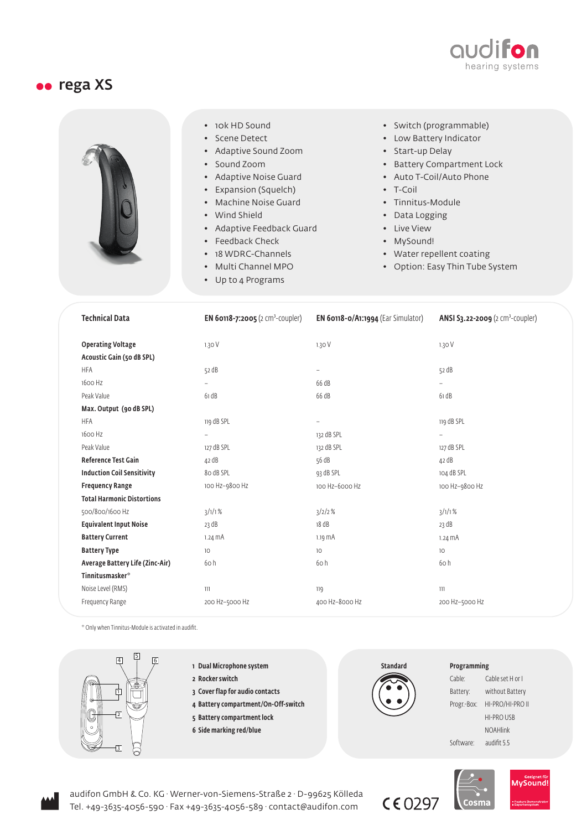

## oo rega XS



- 10k HD Sound
- Scene Detect
- Adaptive Sound Zoom
- Sound Zoom
- Adaptive Noise Guard
- Expansion (Squelch)
- Machine Noise Guard
- Wind Shield
- Adaptive Feedback Guard
- Feedback Check
- 18 WDRC-Channels
- Multi Channel MPO
- Up to 4 Programs
- Switch (programmable)
- Low Battery Indicator
- Start-up Delay
- Battery Compartment Lock
- Auto T-Coil/Auto Phone
- T-Coil
- Tinnitus-Module
- Data Logging
- Live View
- MySound!
- Water repellent coating
- Option: Easy Thin Tube System

| <b>Technical Data</b>             | <b>EN 60118-7:2005</b> (2 cm <sup>3</sup> -coupler) | EN 60118-0/A1:1994 (Ear Simulator) | <b>ANSI S3.22-2009</b> (2 $cm^3$ -coupler) |
|-----------------------------------|-----------------------------------------------------|------------------------------------|--------------------------------------------|
| <b>Operating Voltage</b>          | 1.30V                                               | 1.30V                              | 1.30V                                      |
| Acoustic Gain (50 dB SPL)         |                                                     |                                    |                                            |
| <b>HFA</b>                        | 52 dB                                               | $\overline{\phantom{0}}$           | 52 dB                                      |
| 1600 Hz                           | $\overline{\phantom{0}}$                            | 66 dB                              | $\overline{\phantom{0}}$                   |
| Peak Value                        | 61 dB                                               | 66 dB                              | 61 dB                                      |
| Max. Output (90 dB SPL)           |                                                     |                                    |                                            |
| <b>HFA</b>                        | 119 dB SPL                                          | $\overline{\phantom{a}}$           | 119 dB SPL                                 |
| 1600 Hz                           | -                                                   | 132 dB SPL                         | $\overline{\phantom{a}}$                   |
| Peak Value                        | 127 dB SPL                                          | 132 dB SPL                         | 127 dB SPL                                 |
| <b>Reference Test Gain</b>        | 42 dB                                               | 56 dB                              | 42 dB                                      |
| <b>Induction Coil Sensitivity</b> | 80 dB SPL                                           | 93 dB SPL                          | 104 dB SPL                                 |
| <b>Frequency Range</b>            | 100 Hz-9800 Hz                                      | 100 Hz-6000 Hz                     | 100 Hz-9800 Hz                             |
| <b>Total Harmonic Distortions</b> |                                                     |                                    |                                            |
| 500/800/1600 Hz                   | 3/1/1%                                              | 3/2/2%                             | $3/1/1$ %                                  |
| <b>Equivalent Input Noise</b>     | 23 dB                                               | 18 dB                              | 23 dB                                      |
| <b>Battery Current</b>            | $1.24 \text{ mA}$                                   | $1.19$ $mA$                        | $1.24 \text{ mA}$                          |
| <b>Battery Type</b>               | 10                                                  | 10                                 | 10                                         |
| Average Battery Life (Zinc-Air)   | 60h                                                 | 60 h                               | 60 h                                       |
| Tinnitusmasker <sup>*</sup>       |                                                     |                                    |                                            |
| Noise Level (RMS)                 | $111$                                               | 119                                | 111                                        |
| Frequency Range                   | 200 Hz-5000 Hz                                      | 400 Hz-8000 Hz                     | 200 Hz-5000 Hz                             |

\* Only when Tinnitus-Module is activated in audifit.



- 1 Dual Microphone system
- 2 Rocker switch
- 3 Cover flap for audio contacts
- 4 Battery compartment/On-Off-switch 5 Battery compartment lock
- 6 Side marking red/blue



 $C$ <sub>6</sub>0297

## Programming

| Cable:      | Cable set H or I  |  |
|-------------|-------------------|--|
| Battery:    | without Battery   |  |
| Progr.-Box: | HI-PRO/HI-PRO II  |  |
|             | <b>HI-PRO USB</b> |  |
|             | <b>NOAHlink</b>   |  |
| Software:   | audifit 5.5       |  |



audifon GmbH & Co. KG · Werner-von-Siemens-Straße 2 · D-99625 Kölleda Tel. +49-3635-4056-590 · Fax +49-3635-4056-589 · contact@audifon.com